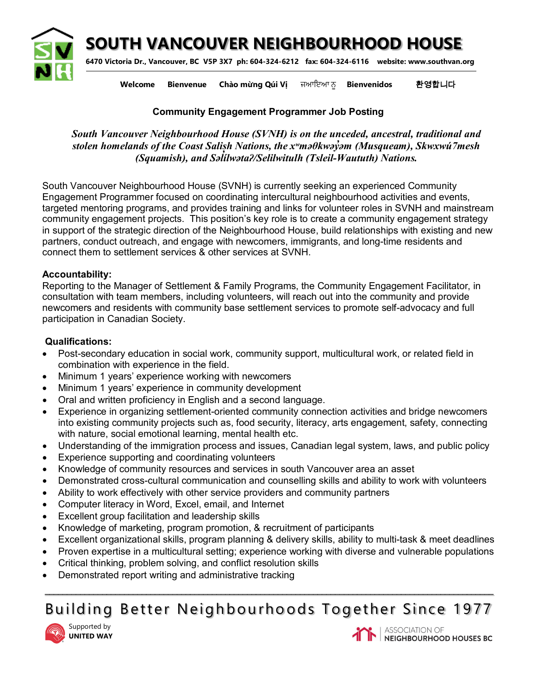**SOUTH VANCOUVER NEIGHBOURHOOD HOUSE**



**6470 Victoria Dr., Vancouver, BC V5P 3X7 ph: 604-324-6212 fax: 604-324-6116 website: www.southvan.org** 

**Welcome Bienvenue Chào mừng Qúi Vị** ਜਆਇਆ ਨੂ **Bienvenidos** 환영합니다

## **Community Engagement Programmer Job Posting**

*South Vancouver Neighbourhood House (SVNH) is on the unceded, ancestral, traditional and stolen homelands of the Coast Salish Nations, the xʷməθkwəy̓ əm (Musqueam), Skwxwú7mesh (Squamish), and Səl̓ ílwətaʔ/Selilwitulh (Tsleil-Waututh) Nations.*

South Vancouver Neighbourhood House (SVNH) is currently seeking an experienced Community Engagement Programmer focused on coordinating intercultural neighbourhood activities and events, targeted mentoring programs, and provides training and links for volunteer roles in SVNH and mainstream community engagement projects. This position's key role is to create a community engagement strategy in support of the strategic direction of the Neighbourhood House, build relationships with existing and new partners, conduct outreach, and engage with newcomers, immigrants, and long-time residents and connect them to settlement services & other services at SVNH.

## **Accountability:**

Reporting to the Manager of Settlement & Family Programs, the Community Engagement Facilitator, in consultation with team members, including volunteers, will reach out into the community and provide newcomers and residents with community base settlement services to promote self-advocacy and full participation in Canadian Society.

## **Qualifications:**

- Post-secondary education in social work, community support, multicultural work, or related field in combination with experience in the field.
- Minimum 1 years' experience working with newcomers
- Minimum 1 years' experience in community development
- Oral and written proficiency in English and a second language.
- Experience in organizing settlement-oriented community connection activities and bridge newcomers into existing community projects such as, food security, literacy, arts engagement, safety, connecting with nature, social emotional learning, mental health etc.
- Understanding of the immigration process and issues, Canadian legal system, laws, and public policy
- Experience supporting and coordinating volunteers
- Knowledge of community resources and services in south Vancouver area an asset
- Demonstrated cross-cultural communication and counselling skills and ability to work with volunteers
- Ability to work effectively with other service providers and community partners
- Computer literacy in Word, Excel, email, and Internet
- Excellent group facilitation and leadership skills
- Knowledge of marketing, program promotion, & recruitment of participants
- Excellent organizational skills, program planning & delivery skills, ability to multi-task & meet deadlines
- Proven expertise in a multicultural setting; experience working with diverse and vulnerable populations
- Critical thinking, problem solving, and conflict resolution skills
- Demonstrated report writing and administrative tracking

## **\_\_\_\_\_\_\_\_\_\_\_\_\_\_\_\_\_\_\_\_\_\_\_\_\_\_\_\_\_\_\_\_\_\_\_\_\_\_\_\_\_\_\_\_\_\_\_\_\_\_\_\_\_\_\_\_\_\_\_\_\_\_\_\_\_\_\_\_\_\_\_\_\_\_\_\_\_\_\_\_\_\_\_\_\_\_\_\_\_\_\_\_\_\_\_\_\_\_\_\_\_\_** Building Better Neighbourhoods Together Since 1977





**ASSOCIATION OF** N NEIGHBOURHOOD HOUSES BC